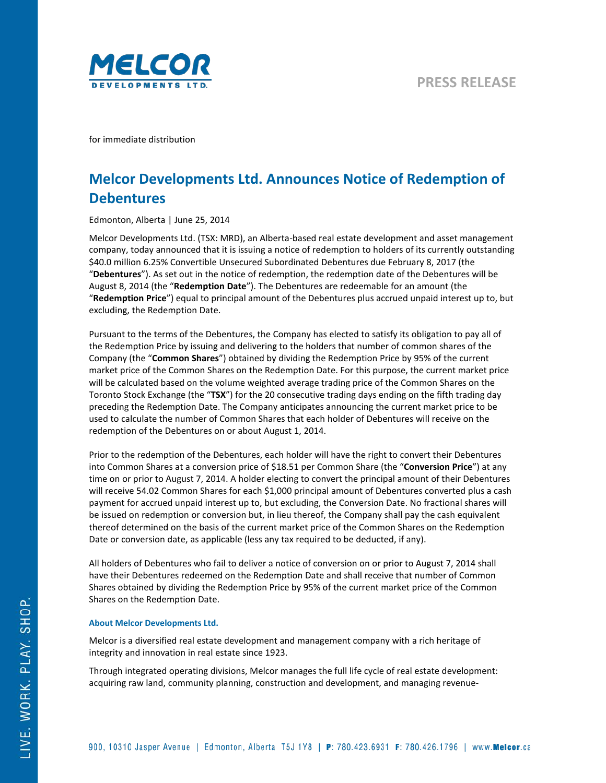

for immediate distribution

## **Melcor Developments Ltd. Announces Notice of Redemption of Debentures**

Edmonton, Alberta | June 25, 2014

Melcor Developments Ltd. (TSX: MRD), an Alberta-based real estate development and asset management company, today announced that it is issuing a notice of redemption to holders of its currently outstanding \$40.0 million 6.25% Convertible Unsecured Subordinated Debentures due February 8, 2017 (the "**Debentures**"). As set out in the notice of redemption, the redemption date of the Debentures will be August 8, 2014 (the "**Redemption Date**"). The Debentures are redeemable for an amount (the "**Redemption Price**") equal to principal amount of the Debentures plus accrued unpaid interest up to, but excluding, the Redemption Date.

Pursuant to the terms of the Debentures, the Company has elected to satisfy its obligation to pay all of the Redemption Price by issuing and delivering to the holders that number of common shares of the Company (the "**Common Shares**") obtained by dividing the Redemption Price by 95% of the current market price of the Common Shares on the Redemption Date. For this purpose, the current market price will be calculated based on the volume weighted average trading price of the Common Shares on the Toronto Stock Exchange (the "**TSX**") for the 20 consecutive trading days ending on the fifth trading day preceding the Redemption Date. The Company anticipates announcing the current market price to be used to calculate the number of Common Shares that each holder of Debentures will receive on the redemption of the Debentures on or about August 1, 2014.

Prior to the redemption of the Debentures, each holder will have the right to convert their Debentures into Common Shares at a conversion price of \$18.51 per Common Share (the "**Conversion Price**") at any time on or prior to August 7, 2014. A holder electing to convert the principal amount of their Debentures will receive 54.02 Common Shares for each \$1,000 principal amount of Debentures converted plus a cash payment for accrued unpaid interest up to, but excluding, the Conversion Date. No fractional shares will be issued on redemption or conversion but, in lieu thereof, the Company shall pay the cash equivalent thereof determined on the basis of the current market price of the Common Shares on the Redemption Date or conversion date, as applicable (less any tax required to be deducted, if any).

All holders of Debentures who fail to deliver a notice of conversion on or prior to August 7, 2014 shall have their Debentures redeemed on the Redemption Date and shall receive that number of Common Shares obtained by dividing the Redemption Price by 95% of the current market price of the Common Shares on the Redemption Date.

## **About Melcor Developments Ltd.**

Melcor is a diversified real estate development and management company with a rich heritage of integrity and innovation in real estate since 1923.

Through integrated operating divisions, Melcor manages the full life cycle of real estate development: acquiring raw land, community planning, construction and development, and managing revenue